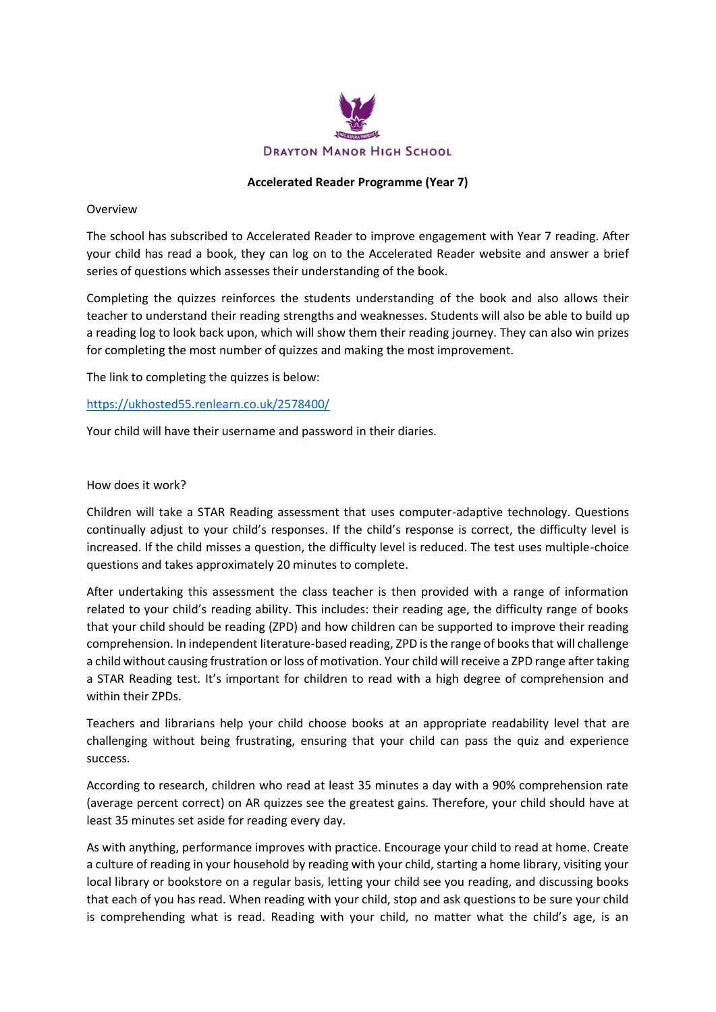

## **Accelerated Reader Programme (Year 7)**

## Overview

The school has subscribed to Accelerated Reader to improve engagement with Year 7 reading. After your child has read a book, they can log on to the Accelerated Reader website and answer a brief series of questions which assesses their understanding of the book.

Completing the quizzes reinforces the students understanding of the book and also allows their teacher to understand their reading strengths and weaknesses. Students will also be able to build up a reading log to look back upon, which will show them their reading journey. They can also win prizes for completing the most number of quizzes and making the most improvement.

The link to completing the quizzes is below:

<https://ukhosted55.renlearn.co.uk/2578400/>

Your child will have their username and password in their diaries.

## How does it work?

Children will take a STAR Reading assessment that uses computer-adaptive technology. Questions continually adjust to your child's responses. If the child's response is correct, the difficulty level is increased. If the child misses a question, the difficulty level is reduced. The test uses multiple-choice questions and takes approximately 20 minutes to complete.

After undertaking this assessment the class teacher is then provided with a range of information related to your child's reading ability. This includes: their reading age, the difficulty range of books that your child should be reading (ZPD) and how children can be supported to improve their reading comprehension. In independent literature-based reading, ZPD is the range of books that will challenge a child without causing frustration or loss of motivation. Your child will receive a ZPD range after taking a STAR Reading test. It's important for children to read with a high degree of comprehension and within their ZPDs.

Teachers and librarians help your child choose books at an appropriate readability level that are challenging without being frustrating, ensuring that your child can pass the quiz and experience success.

According to research, children who read at least 35 minutes a day with a 90% comprehension rate (average percent correct) on AR quizzes see the greatest gains. Therefore, your child should have at least 35 minutes set aside for reading every day.

As with anything, performance improves with practice. Encourage your child to read at home. Create a culture of reading in your household by reading with your child, starting a home library, visiting your local library or bookstore on a regular basis, letting your child see you reading, and discussing books that each of you has read. When reading with your child, stop and ask questions to be sure your child is comprehending what is read. Reading with your child, no matter what the child's age, is an